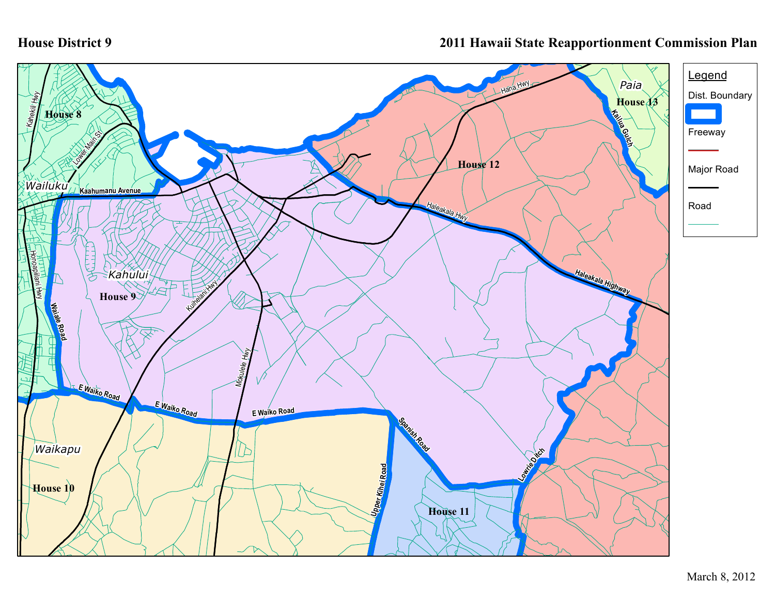## **House District 9**